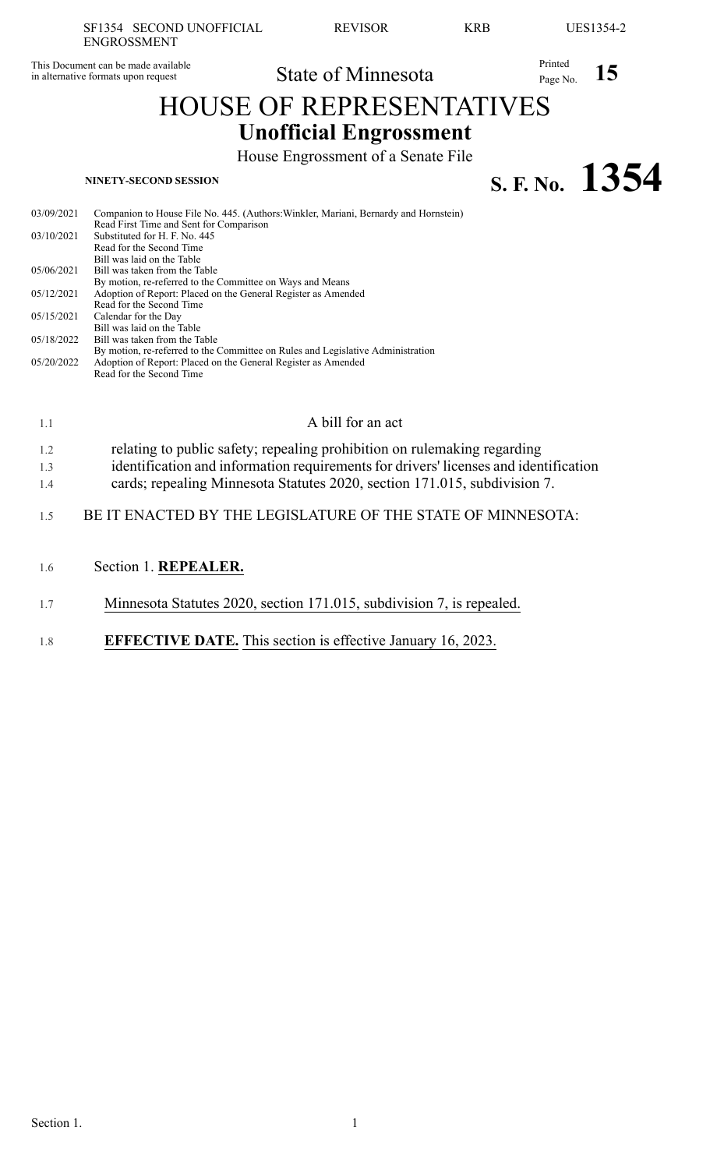This Document can be made available in alternative formats upon request

# State of Minnesota Printed Page No. 15

## HOUSE OF REPRESENTATIVES **Unofficial Engrossment**

House Engrossment of a Senate File

**S. F. No.**  $1354$ 

| 03/09/2021 | Companion to House File No. 445. (Authors: Winkler, Mariani, Bernardy and Hornstein) |
|------------|--------------------------------------------------------------------------------------|
|            | Read First Time and Sent for Comparison                                              |
| 03/10/2021 | Substituted for H. F. No. 445                                                        |
|            | Read for the Second Time                                                             |
|            | Bill was laid on the Table                                                           |
| 05/06/2021 | Bill was taken from the Table                                                        |
|            | By motion, re-referred to the Committee on Ways and Means                            |
| 05/12/2021 | Adoption of Report: Placed on the General Register as Amended                        |
|            | Read for the Second Time                                                             |
| 05/15/2021 | Calendar for the Day                                                                 |
|            | Bill was laid on the Table                                                           |
| 05/18/2022 | Bill was taken from the Table                                                        |
|            | By motion, re-referred to the Committee on Rules and Legislative Administration      |
| 05/20/2022 | Adoption of Report: Placed on the General Register as Amended                        |
|            | Read for the Second Time                                                             |
|            |                                                                                      |

| 1.1 | A bill for an act                                                                    |
|-----|--------------------------------------------------------------------------------------|
| 1.2 | relating to public safety; repealing prohibition on rulemaking regarding             |
| 1.3 | identification and information requirements for drivers' licenses and identification |
| 1.4 | cards; repealing Minnesota Statutes 2020, section 171.015, subdivision 7.            |
| 15  | BE IT ENACTED BY THE LEGISLATURE OF THE STATE OF MINNESOTA:                          |
|     | Section 1 REPEALER                                                                   |

- 1.6 Section 1. **REPEALER.**
- 1.7 Minnesota Statutes 2020, section 171.015, subdivision 7, is repealed.
- 1.8 **EFFECTIVE DATE.** This section is effective January 16, 2023.